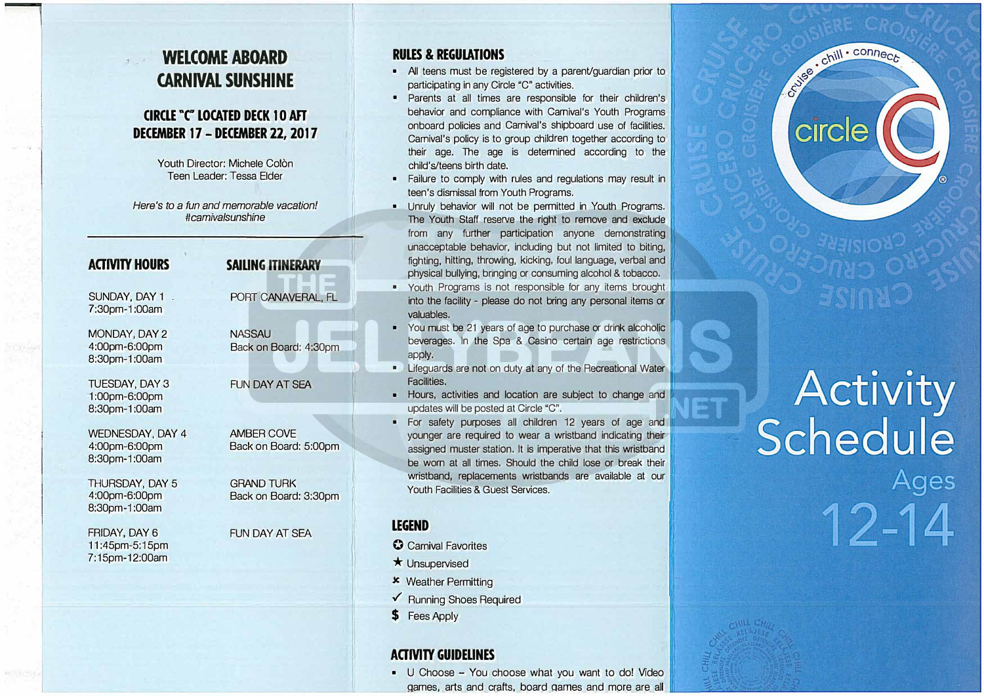## **WELCOME ABOARD CARNIVAL SUNSHINE**

### **CIRCLE "C" LOCATED DECK 10 AFT DECEMBER 17 - DECEMBER 22, 2017**

Youth Director: Michele Colon Teen Leader: Tessa Elder

*Here's to a fun and memorable vacation! #camiva/sunshine* 

**SAIUNG ITINERARY** 

**NASSAU** 

PORT CANAVERAL, FL

Back on Board: 4:30pm

Back on Board: 5:00pm

Back on Board: 3:30pm

FUN DAY AT SEA

AMBER COVE

GRAND TURK

FUN DAY AT SEA

#### **ACTMTY HOURS**

SUNDAY, DAY 1 -7:30pm-1 :OOam

MONDAY, DAY 2 4:00pm-6:00pm 8:30pm-1 :00am

TUESDAY, DAY 3 1 :00pm-6:00pm 8:30pm-1 :00am

WEDNESDAY, DAY 4 4:00pm-6:00pm 8:30pm-1 :00am

THURSDAY, DAY 5 4:00pm-6:00pm 8:30pm-1 :00am

FRIDAY, DAY 6 11 :45pm-5:15pm 7:15pm-12:00am

#### **RULES & REGUlATIONS**

- All teens must be registered by a parent/guardian prior to participating in any Circle "C" activities.
- Parents at all times are responsible for their children's behavior and compliance with Carnival's Youth Programs onboard policies and Carnival's shipboard use of facilities. Carnival's policy is to group children together according to their age. The age is determined according to the child's/teens birth date.
- Failure to comply with rules and regulations may result in teen's dismissal from Youth Programs.
- Unruly behavior will not be permitted in Youth Programs. The Youth Staff reserve the right to remove and exclude from any further participation anyone demonstrating unacceptable behavior, including but not limited to biting, fighting, hitting, throwing, kicking, foul language, verbal and 1 physical bullying, bringing or consuming alcohol & tobacco.
- Youth Programs is not responsible for any items brought into the facility - please do not bring any personal items or valuables.
- You must be 21 years of age to purchase or drink alcoholic beverages. In the Spa & Casino certain age restrictions
- apply.<br>
 Lifeguards are not on duty at any of the Recreational Water<br>
Facilities. **Facilities.** In the contract of the contract of the contract of the contract of the contract of the contract of the contract of the contract of the contract of the contract of the contract of the contract of the contract
- Hours, activities and location are subject to change and updates will be posted at Circle "C".
- For safety purposes all children 12 years of age and younger are required to wear a wristband indicating their assigned muster station. It is imperative that this wristband be worn at all times. Should the child lose or break their wristband, replacements wristbands are available at our Youth Facilities & Guest Services.

#### **LEGEND**

**0** Carnival Favorites

- $\star$  Unsupervised
- .>c Weather Permitting
- ./ Running Shoes Required
- \$ Fees Apply

#### **ACTMTY GUIDEUNES**

• U Choose - You choose what you want to do! Video Qames, arts and crafts, board oames and more are all



# **Activity<br>Schedule** Ages 12-14

**ESTE**